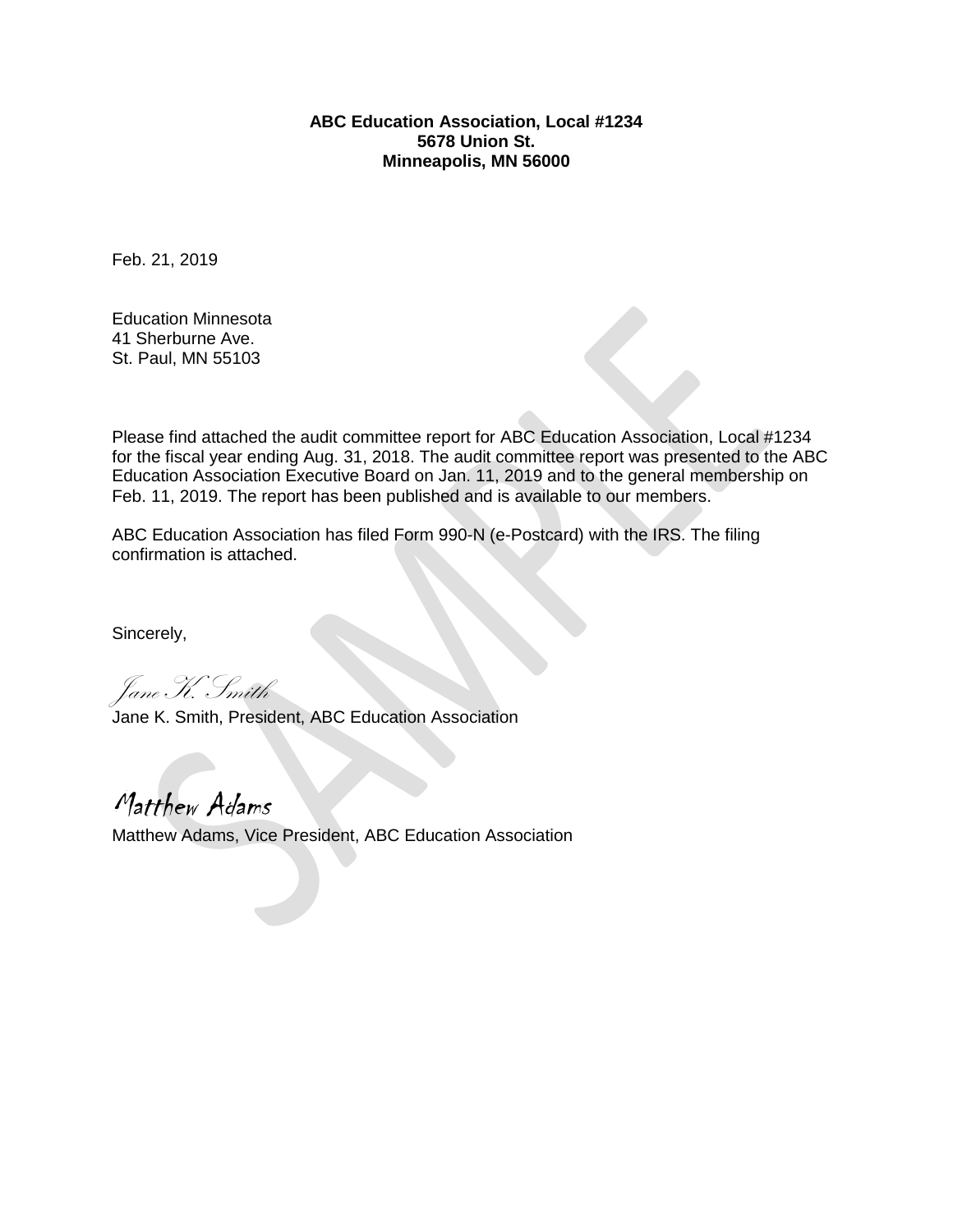### **ABC Education Association, Local #1234 5678 Union St. Minneapolis, MN 56000**

Feb. 21, 2019

Education Minnesota 41 Sherburne Ave. St. Paul, MN 55103

Please find attached the audit committee report for ABC Education Association, Local #1234 for the fiscal year ending Aug. 31, 2018. The audit committee report was presented to the ABC Education Association Executive Board on Jan. 11, 2019 and to the general membership on Feb. 11, 2019. The report has been published and is available to our members.

ABC Education Association has filed Form 990-N (e-Postcard) with the IRS. The filing confirmation is attached.

Sincerely,

Jane K. Smith

Jane K. Smith, President, ABC Education Association

Matthew Adams Matthew Adams, Vice President, ABC Education Association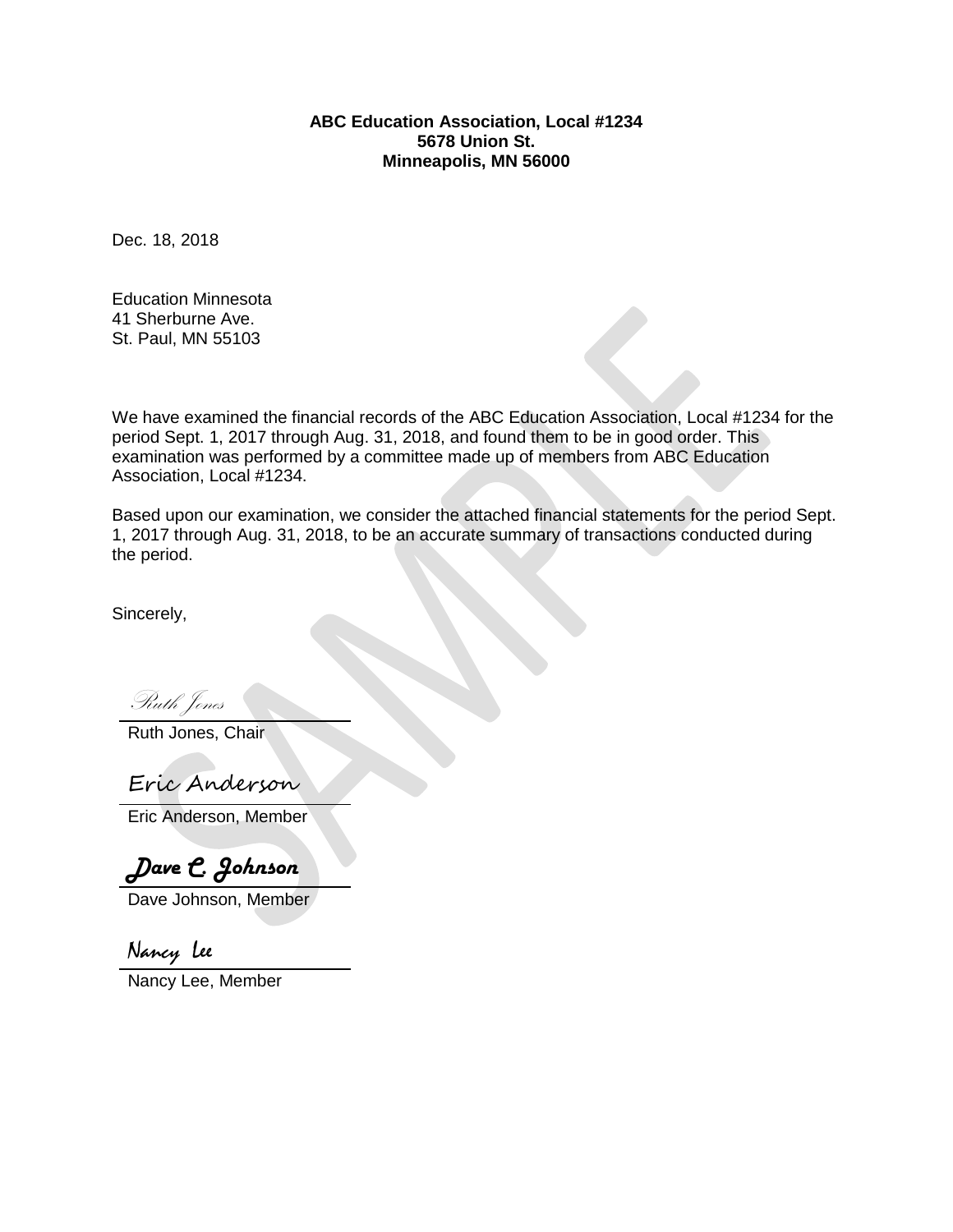### **ABC Education Association, Local #1234 5678 Union St. Minneapolis, MN 56000**

Dec. 18, 2018

Education Minnesota 41 Sherburne Ave. St. Paul, MN 55103

We have examined the financial records of the ABC Education Association, Local #1234 for the period Sept. 1, 2017 through Aug. 31, 2018, and found them to be in good order. This examination was performed by a committee made up of members from ABC Education Association, Local #1234.

Based upon our examination, we consider the attached financial statements for the period Sept. 1, 2017 through Aug. 31, 2018, to be an accurate summary of transactions conducted during the period.

Sincerely,

Ruth Jones

Ruth Jones, Chair

Eric Anderson

Eric Anderson, Member

*Dave C. Johnson*

Dave Johnson, Member

Nancy Lee

Nancy Lee, Member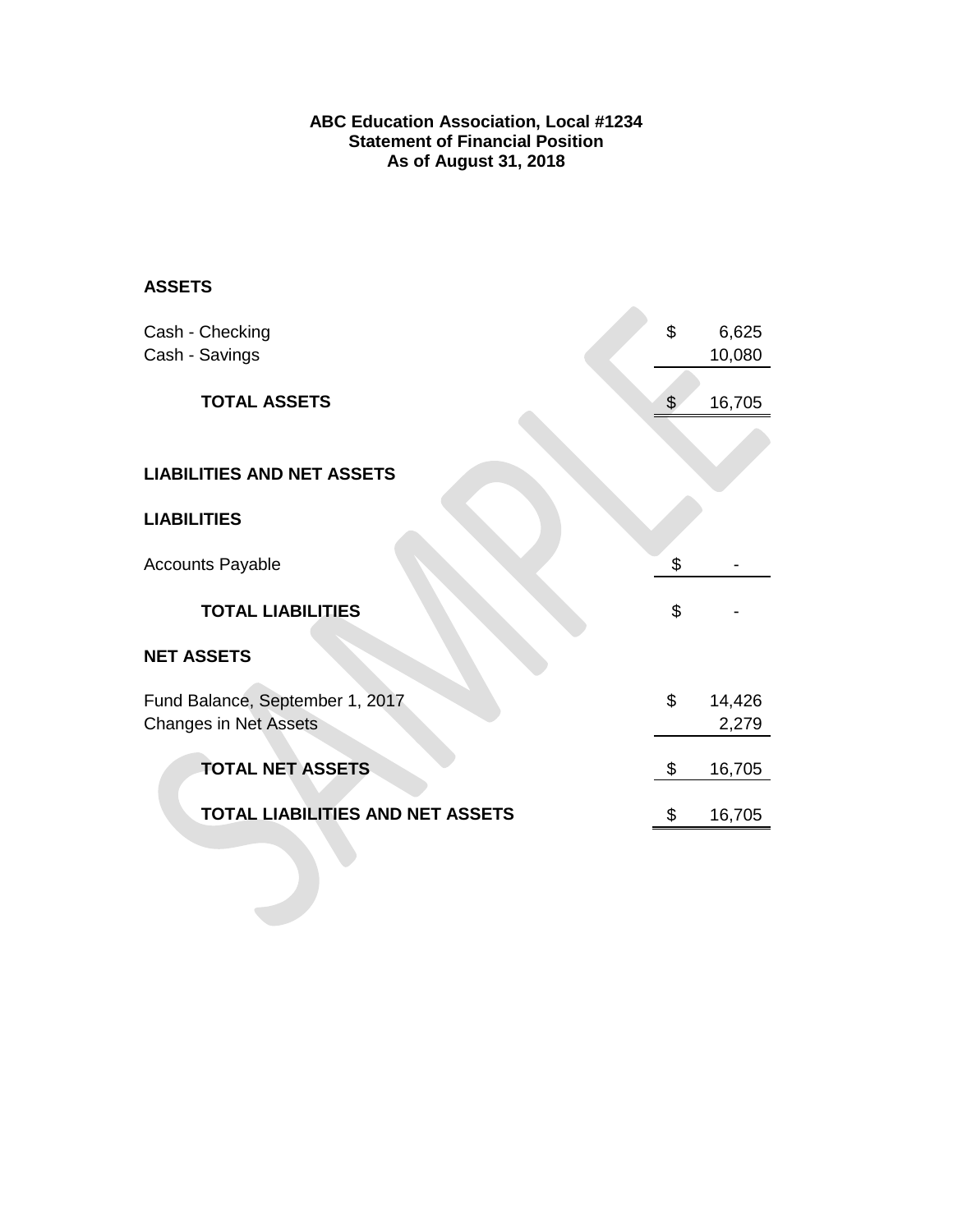### **ABC Education Association, Local #1234 Statement of Financial Position As of August 31, 2018**

 $\sim$ 

# **ASSETS**

| Cash - Checking<br>Cash - Savings                               | \$             | 6,625<br>10,080 |
|-----------------------------------------------------------------|----------------|-----------------|
| <b>TOTAL ASSETS</b>                                             | $\mathfrak{S}$ | 16,705          |
| <b>LIABILITIES AND NET ASSETS</b>                               |                |                 |
| <b>LIABILITIES</b>                                              |                |                 |
| <b>Accounts Payable</b>                                         | \$             |                 |
| <b>TOTAL LIABILITIES</b>                                        | \$             |                 |
| <b>NET ASSETS</b>                                               |                |                 |
| Fund Balance, September 1, 2017<br><b>Changes in Net Assets</b> | \$             | 14,426<br>2,279 |
| <b>TOTAL NET ASSETS</b>                                         | \$             | 16,705          |
| <b>TOTAL LIABILITIES AND NET ASSETS</b>                         | \$             | 16,705          |
|                                                                 |                |                 |